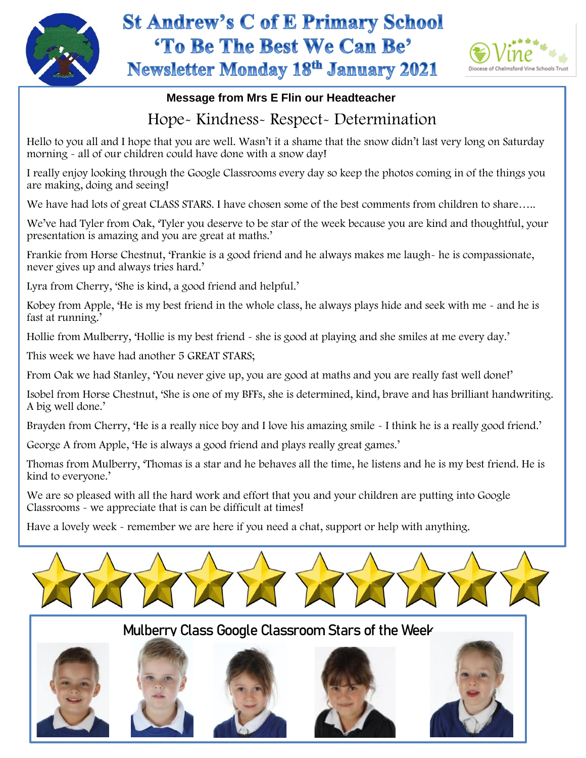

## **St Andrew's C of E Primary School** 'To Be The Best We Can Be' **Newsletter Monday 18th January 2021**



## **Message from Mrs E Flin our Headteacher**

## Hope- Kindness- Respect- Determination

Hello to you all and I hope that you are well. Wasn't it a shame that the snow didn't last very long on Saturday morning - all of our children could have done with a snow day!

I really enjoy looking through the Google Classrooms every day so keep the photos coming in of the things you are making, doing and seeing!

We have had lots of great CLASS STARS. I have chosen some of the best comments from children to share.....

We've had Tyler from Oak, 'Tyler you deserve to be star of the week because you are kind and thoughtful, your presentation is amazing and you are great at maths.'

Frankie from Horse Chestnut, 'Frankie is a good friend and he always makes me laugh- he is compassionate, never gives up and always tries hard.'

Lyra from Cherry, 'She is kind, a good friend and helpful.'

Kobey from Apple, 'He is my best friend in the whole class, he always plays hide and seek with me - and he is fast at running.'

Hollie from Mulberry, 'Hollie is my best friend - she is good at playing and she smiles at me every day.'

 This week we have had another 5 GREAT STARS;

From Oak we had Stanley, 'You never give up, you are good at maths and you are really fast well done!'

Isobel from Horse Chestnut, 'She is one of my BFFs, she is determined, kind, brave and has brilliant handwriting. A big well done.'

Brayden from Cherry, 'He is a really nice boy and I love his amazing smile  $\sim$  I think he is a really good friend.'

George A from Apple, 'He is always a good friend and plays really great games.'

Thomas from Mulberry, 'Thomas is a star and he behaves all the time, he listens and he is my best friend. He is kind to everyone.'

We are so pleased with all the hard work and effort that you and your children are putting into Google Classrooms - we appreciate that is can be difficult at times!

Have a lovely week - remember we are here if you need a chat, support or help with anything.



Mulberry Class Google Classroom Stars of the Week









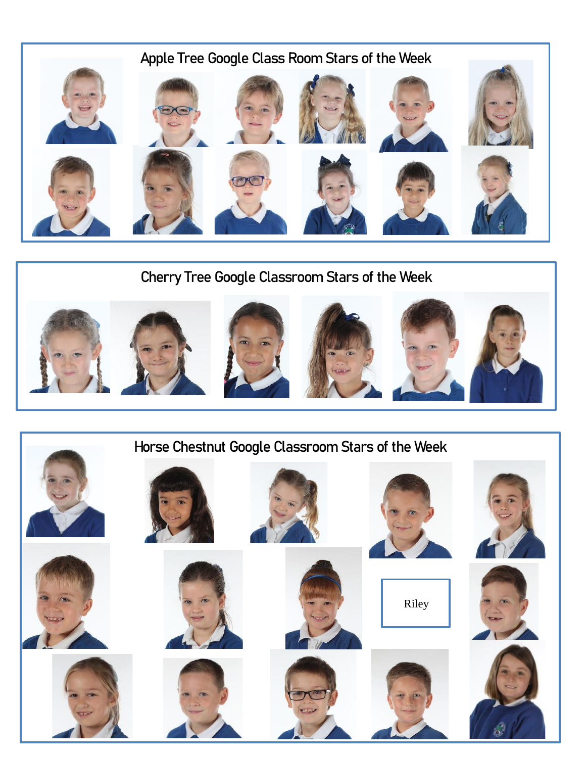

Cherry Tree Google Classroom Stars of the Week



## Horse Chestnut Google Classroom Stars of the Week